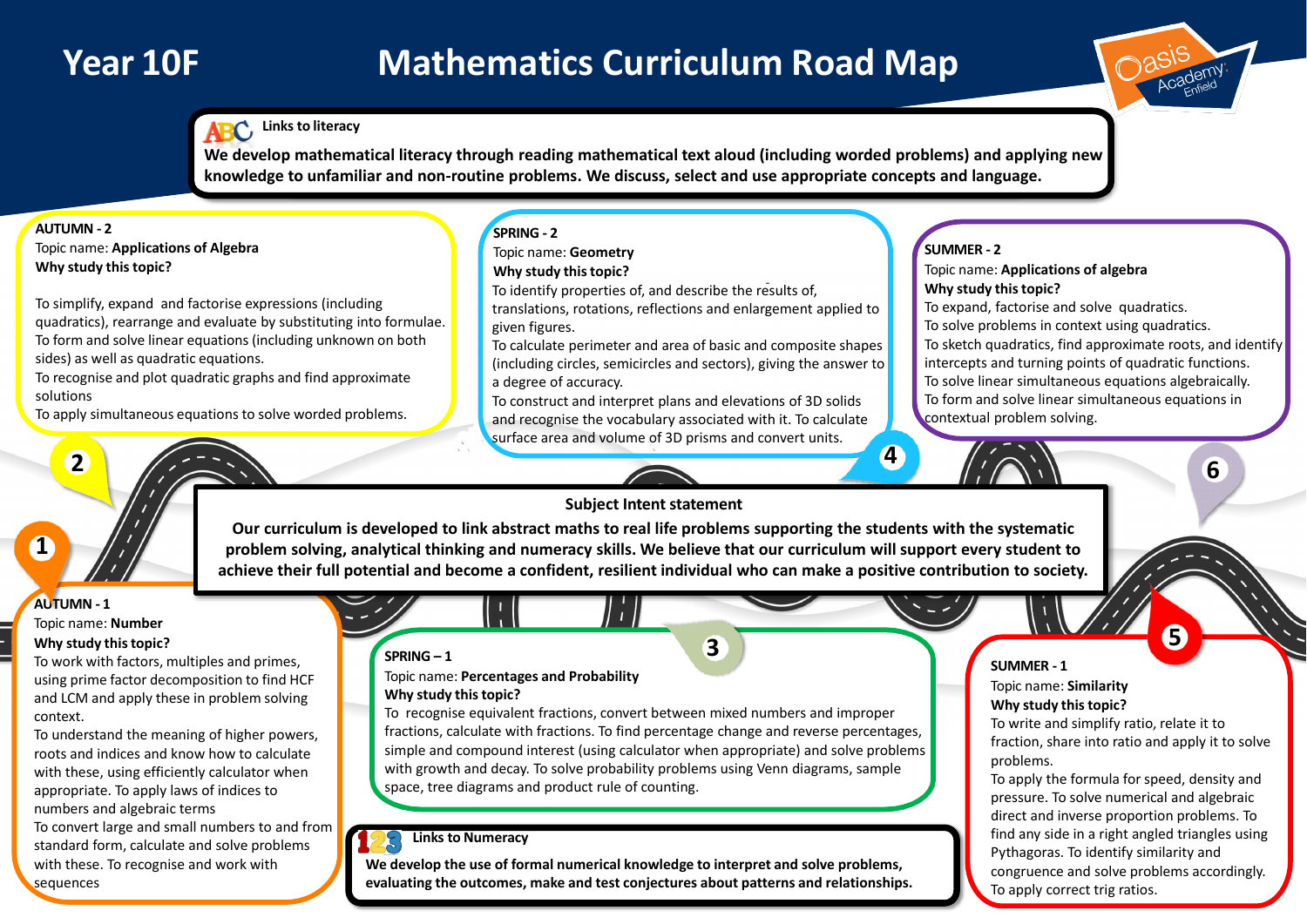# **Year 10F Mathematics Curriculum Road Map**

## **AUTUMN - 1**

### Topic name: **Number Why study thistopic?**

To work with factors, multiples and primes, using prime factor decomposition to find HCF and LCM and apply these in problem solving context.

To understand the meaning of higher powers, roots and indices and know how to calculate with these, using efficiently calculator when appropriate. To apply laws of indices to numbers and algebraic terms To convert large and small numbers to and from

standard form, calculate and solve problems with these. To recognise and work with sequences

### **SUMMER - 1**

Topic name: **Similarity Why study thistopic?**

To write and simplify ratio, relate it to fraction, share into ratio and apply it to solve problems.

To apply the formula for speed, density and pressure. To solve numerical and algebraic direct and inverse proportion problems. To find any side in a right angled triangles using Pythagoras. To identify similarity and congruence and solve problems accordingly. To apply correct trig ratios.

### Topic name: **Applications of algebra Why study thistopic?**

To expand, factorise and solve quadratics.

To solve problems in context using quadratics.

To sketch quadratics, find approximate roots, and identify intercepts and turning points of quadratic functions. To solve linear simultaneous equations algebraically. To form and solve linear simultaneous equations in contextual problem solving.



# **Links to Numeracy**

### **AUTUMN - 2**

Topic name: **Applications of Algebra Why study this topic?**

To simplify, expand and factorise expressions (including quadratics), rearrange and evaluate by substituting into formulae. To form and solve linear equations (including unknown on both sides) as well as quadratic equations.

To recognise and plot quadratic graphs and find approximate solutions

To apply simultaneous equations to solve worded problems.

**2**

**1**

**5**

### **SPRING – 1**

**SUMMER - 2 SPRING - 2** Topic name: **Geometry Why study thistopic?** To identify properties of, and describe the results of, translations, rotations, reflections and enlargement applied to given figures. To calculate perimeter and area of basic and composite shapes (including circles, semicircles and sectors), giving the answer to a degree of accuracy. To construct and interpret plans and elevations of 3D solids and recognise the vocabulary associated with it. To calculate

#### Topic name: **Percentages and Probability Why study thistopic?**

To recognise equivalent fractions, convert between mixed numbers and improper fractions, calculate with fractions. To find percentage change and reverse percentages, simple and compound interest (using calculator when appropriate) and solve problems with growth and decay. To solve probability problems using Venn diagrams, sample space, tree diagrams and product rule of counting.

**3**

surface area and volume of 3D prisms and convert units.

**4**

**We develop the use of formal numerical knowledge to interpret and solve problems, evaluating the outcomes, make and test conjectures about patterns and relationships.**

**Subject Intent statement**

**Our curriculum is developed to link abstract maths to real life problems supporting the students with the systematic problem solving, analytical thinking and numeracy skills. We believe that our curriculum will support every student to achieve their full potential and become a confident, resilient individual who can make a positive contribution to society.**

## **Links to literacy**

**We develop mathematical literacy through reading mathematical text aloud (including worded problems) and applying new knowledge to unfamiliar and non-routine problems. We discuss, select and use appropriate concepts and language.**

**6**